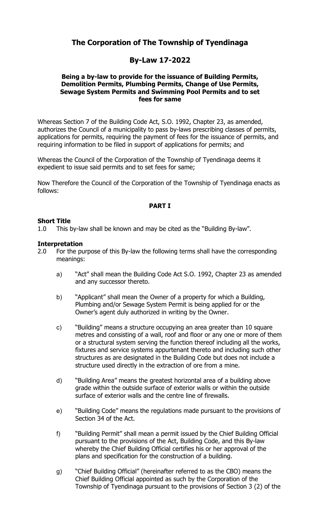# **The Corporation of The Township of Tyendinaga**

# **By-Law 17-2022**

#### **Being a by-law to provide for the issuance of Building Permits, Demolition Permits, Plumbing Permits, Change of Use Permits, Sewage System Permits and Swimming Pool Permits and to set fees for same**

Whereas Section 7 of the Building Code Act, S.O. 1992, Chapter 23, as amended, authorizes the Council of a municipality to pass by-laws prescribing classes of permits, applications for permits, requiring the payment of fees for the issuance of permits, and requiring information to be filed in support of applications for permits; and

Whereas the Council of the Corporation of the Township of Tyendinaga deems it expedient to issue said permits and to set fees for same;

Now Therefore the Council of the Corporation of the Township of Tyendinaga enacts as follows:

#### **PART I**

#### **Short Title**

1.0 This by-law shall be known and may be cited as the "Building By-law".

#### **Interpretation**

- 2.0 For the purpose of this By-law the following terms shall have the corresponding meanings:
	- a) "Act" shall mean the Building Code Act S.O. 1992, Chapter 23 as amended and any successor thereto.
	- b) "Applicant" shall mean the Owner of a property for which a Building, Plumbing and/or Sewage System Permit is being applied for or the Owner's agent duly authorized in writing by the Owner.
	- c) "Building" means a structure occupying an area greater than 10 square metres and consisting of a wall, roof and floor or any one or more of them or a structural system serving the function thereof including all the works, fixtures and service systems appurtenant thereto and including such other structures as are designated in the Building Code but does not include a structure used directly in the extraction of ore from a mine.
	- d) "Building Area" means the greatest horizontal area of a building above grade within the outside surface of exterior walls or within the outside surface of exterior walls and the centre line of firewalls.
	- e) "Building Code" means the regulations made pursuant to the provisions of Section 34 of the Act.
	- f) "Building Permit" shall mean a permit issued by the Chief Building Official pursuant to the provisions of the Act, Building Code, and this By-law whereby the Chief Building Official certifies his or her approval of the plans and specification for the construction of a building.
	- g) "Chief Building Official" (hereinafter referred to as the CBO) means the Chief Building Official appointed as such by the Corporation of the Township of Tyendinaga pursuant to the provisions of Section 3 (2) of the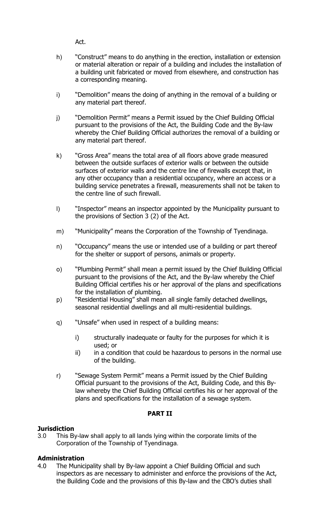Act.

- h) "Construct" means to do anything in the erection, installation or extension or material alteration or repair of a building and includes the installation of a building unit fabricated or moved from elsewhere, and construction has a corresponding meaning.
- i) "Demolition" means the doing of anything in the removal of a building or any material part thereof.
- j) "Demolition Permit" means a Permit issued by the Chief Building Official pursuant to the provisions of the Act, the Building Code and the By-law whereby the Chief Building Official authorizes the removal of a building or any material part thereof.
- k) "Gross Area" means the total area of all floors above grade measured between the outside surfaces of exterior walls or between the outside surfaces of exterior walls and the centre line of firewalls except that, in any other occupancy than a residential occupancy, where an access or a building service penetrates a firewall, measurements shall not be taken to the centre line of such firewall.
- l) "Inspector" means an inspector appointed by the Municipality pursuant to the provisions of Section 3 (2) of the Act.
- m) "Municipality" means the Corporation of the Township of Tyendinaga.
- n) "Occupancy" means the use or intended use of a building or part thereof for the shelter or support of persons, animals or property.
- o) "Plumbing Permit" shall mean a permit issued by the Chief Building Official pursuant to the provisions of the Act, and the By-law whereby the Chief Building Official certifies his or her approval of the plans and specifications for the installation of plumbing.
- p) "Residential Housing" shall mean all single family detached dwellings, seasonal residential dwellings and all multi-residential buildings.
- q) "Unsafe" when used in respect of a building means:
	- i) structurally inadequate or faulty for the purposes for which it is used; or
	- ii) in a condition that could be hazardous to persons in the normal use of the building.
- r) "Sewage System Permit" means a Permit issued by the Chief Building Official pursuant to the provisions of the Act, Building Code, and this Bylaw whereby the Chief Building Official certifies his or her approval of the plans and specifications for the installation of a sewage system.

# **PART II**

#### **Jurisdiction**

3.0 This By-law shall apply to all lands lying within the corporate limits of the Corporation of the Township of Tyendinaga.

# **Administration**

4.0 The Municipality shall by By-law appoint a Chief Building Official and such inspectors as are necessary to administer and enforce the provisions of the Act, the Building Code and the provisions of this By-law and the CBO's duties shall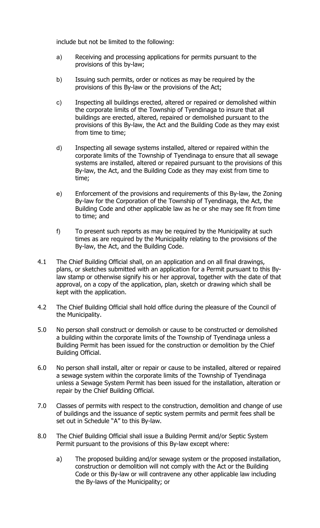include but not be limited to the following:

- a) Receiving and processing applications for permits pursuant to the provisions of this by-law;
- b) Issuing such permits, order or notices as may be required by the provisions of this By-law or the provisions of the Act;
- c) Inspecting all buildings erected, altered or repaired or demolished within the corporate limits of the Township of Tyendinaga to insure that all buildings are erected, altered, repaired or demolished pursuant to the provisions of this By-law, the Act and the Building Code as they may exist from time to time;
- d) Inspecting all sewage systems installed, altered or repaired within the corporate limits of the Township of Tyendinaga to ensure that all sewage systems are installed, altered or repaired pursuant to the provisions of this By-law, the Act, and the Building Code as they may exist from time to time;
- e) Enforcement of the provisions and requirements of this By-law, the Zoning By-law for the Corporation of the Township of Tyendinaga, the Act, the Building Code and other applicable law as he or she may see fit from time to time; and
- f) To present such reports as may be required by the Municipality at such times as are required by the Municipality relating to the provisions of the By-law, the Act, and the Building Code.
- 4.1 The Chief Building Official shall, on an application and on all final drawings, plans, or sketches submitted with an application for a Permit pursuant to this Bylaw stamp or otherwise signify his or her approval, together with the date of that approval, on a copy of the application, plan, sketch or drawing which shall be kept with the application.
- 4.2 The Chief Building Official shall hold office during the pleasure of the Council of the Municipality.
- 5.0 No person shall construct or demolish or cause to be constructed or demolished a building within the corporate limits of the Township of Tyendinaga unless a Building Permit has been issued for the construction or demolition by the Chief Building Official.
- 6.0 No person shall install, alter or repair or cause to be installed, altered or repaired a sewage system within the corporate limits of the Township of Tyendinaga unless a Sewage System Permit has been issued for the installation, alteration or repair by the Chief Building Official.
- 7.0 Classes of permits with respect to the construction, demolition and change of use of buildings and the issuance of septic system permits and permit fees shall be set out in Schedule "A" to this By-law.
- 8.0 The Chief Building Official shall issue a Building Permit and/or Septic System Permit pursuant to the provisions of this By-law except where:
	- a) The proposed building and/or sewage system or the proposed installation, construction or demolition will not comply with the Act or the Building Code or this By-law or will contravene any other applicable law including the By-laws of the Municipality; or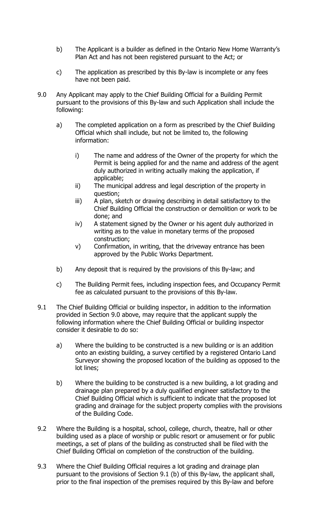- b) The Applicant is a builder as defined in the Ontario New Home Warranty's Plan Act and has not been registered pursuant to the Act; or
- c) The application as prescribed by this By-law is incomplete or any fees have not been paid.
- 9.0 Any Applicant may apply to the Chief Building Official for a Building Permit pursuant to the provisions of this By-law and such Application shall include the following:
	- a) The completed application on a form as prescribed by the Chief Building Official which shall include, but not be limited to, the following information:
		- i) The name and address of the Owner of the property for which the Permit is being applied for and the name and address of the agent duly authorized in writing actually making the application, if applicable;
		- ii) The municipal address and legal description of the property in question;
		- iii) A plan, sketch or drawing describing in detail satisfactory to the Chief Building Official the construction or demolition or work to be done; and
		- iv) A statement signed by the Owner or his agent duly authorized in writing as to the value in monetary terms of the proposed construction;
		- v) Confirmation, in writing, that the driveway entrance has been approved by the Public Works Department.
	- b) Any deposit that is required by the provisions of this By-law; and
	- c) The Building Permit fees, including inspection fees, and Occupancy Permit fee as calculated pursuant to the provisions of this By-law.
- 9.1 The Chief Building Official or building inspector, in addition to the information provided in Section 9.0 above, may require that the applicant supply the following information where the Chief Building Official or building inspector consider it desirable to do so:
	- a) Where the building to be constructed is a new building or is an addition onto an existing building, a survey certified by a registered Ontario Land Surveyor showing the proposed location of the building as opposed to the lot lines;
	- b) Where the building to be constructed is a new building, a lot grading and drainage plan prepared by a duly qualified engineer satisfactory to the Chief Building Official which is sufficient to indicate that the proposed lot grading and drainage for the subject property complies with the provisions of the Building Code.
- 9.2 Where the Building is a hospital, school, college, church, theatre, hall or other building used as a place of worship or public resort or amusement or for public meetings, a set of plans of the building as constructed shall be filed with the Chief Building Official on completion of the construction of the building.
- 9.3 Where the Chief Building Official requires a lot grading and drainage plan pursuant to the provisions of Section 9.1 (b) of this By-law, the applicant shall, prior to the final inspection of the premises required by this By-law and before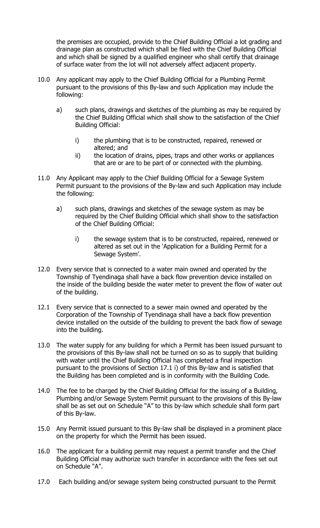the premises are occupied, provide to the Chief Building Official a lot grading and drainage plan as constructed which shall be filed with the Chief Building Official and which shall be signed by a qualified engineer who shall certify that drainage of surface water from the lot will not adversely affect adjacent property.

- 10.0 Any applicant may apply to the Chief Building Official for a Plumbing Permit pursuant to the provisions of this By-law and such Application may include the following:
	- a) such plans, drawings and sketches of the plumbing as may be required by the Chief Building Official which shall show to the satisfaction of the Chief Building Official:
		- i) the plumbing that is to be constructed, repaired, renewed or altered; and
		- ii) the location of drains, pipes, traps and other works or appliances that are or are to be part of or connected with the plumbing.
- 11.0 Any Applicant may apply to the Chief Building Official for a Sewage System Permit pursuant to the provisions of the By-law and such Application may include the following:
	- a) such plans, drawings and sketches of the sewage system as may be required by the Chief Building Official which shall show to the satisfaction of the Chief Building Official:
		- i) the sewage system that is to be constructed, repaired, renewed or altered as set out in the 'Application for a Building Permit for a Sewage System'.
- 12.0 Every service that is connected to a water main owned and operated by the Township of Tyendinaga shall have a back flow prevention device installed on the inside of the building beside the water meter to prevent the flow of water out of the building.
- 12.1 Every service that is connected to a sewer main owned and operated by the Corporation of the Township of Tyendinaga shall have a back flow prevention device installed on the outside of the building to prevent the back flow of sewage into the building.
- 13.0 The water supply for any building for which a Permit has been issued pursuant to the provisions of this By-law shall not be turned on so as to supply that building with water until the Chief Building Official has completed a final inspection pursuant to the provisions of Section 17.1 i) of this By-law and is satisfied that the Building has been completed and is in conformity with the Building Code.
- 14.0 The fee to be charged by the Chief Building Official for the issuing of a Building, Plumbing and/or Sewage System Permit pursuant to the provisions of this By-law shall be as set out on Schedule "A" to this by-law which schedule shall form part of this By-law.
- 15.0 Any Permit issued pursuant to this By-law shall be displayed in a prominent place on the property for which the Permit has been issued.
- 16.0 The applicant for a building permit may request a permit transfer and the Chief Building Official may authorize such transfer in accordance with the fees set out on Schedule "A".
- 17.0 Each building and/or sewage system being constructed pursuant to the Permit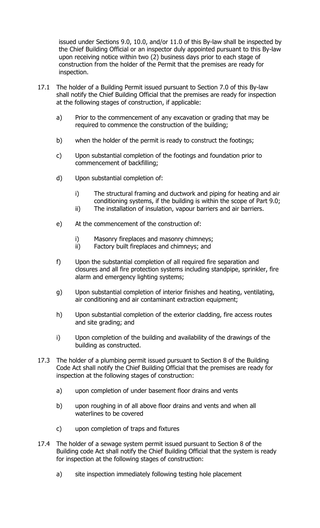issued under Sections 9.0, 10.0, and/or 11.0 of this By-law shall be inspected by the Chief Building Official or an inspector duly appointed pursuant to this By-law upon receiving notice within two (2) business days prior to each stage of construction from the holder of the Permit that the premises are ready for inspection.

- 17.1 The holder of a Building Permit issued pursuant to Section 7.0 of this By-law shall notify the Chief Building Official that the premises are ready for inspection at the following stages of construction, if applicable:
	- a) Prior to the commencement of any excavation or grading that may be required to commence the construction of the building;
	- b) when the holder of the permit is ready to construct the footings;
	- c) Upon substantial completion of the footings and foundation prior to commencement of backfilling;
	- d) Upon substantial completion of:
		- i) The structural framing and ductwork and piping for heating and air conditioning systems, if the building is within the scope of Part 9.0;
		- ii) The installation of insulation, vapour barriers and air barriers.
	- e) At the commencement of the construction of:
		- i) Masonry fireplaces and masonry chimneys;<br>ii) Factory built fireplaces and chimneys: and
		- Factory built fireplaces and chimneys; and
	- f) Upon the substantial completion of all required fire separation and closures and all fire protection systems including standpipe, sprinkler, fire alarm and emergency lighting systems;
	- g) Upon substantial completion of interior finishes and heating, ventilating, air conditioning and air contaminant extraction equipment;
	- h) Upon substantial completion of the exterior cladding, fire access routes and site grading; and
	- i) Upon completion of the building and availability of the drawings of the building as constructed.
- 17.3 The holder of a plumbing permit issued pursuant to Section 8 of the Building Code Act shall notify the Chief Building Official that the premises are ready for inspection at the following stages of construction:
	- a) upon completion of under basement floor drains and vents
	- b) upon roughing in of all above floor drains and vents and when all waterlines to be covered
	- c) upon completion of traps and fixtures
- 17.4 The holder of a sewage system permit issued pursuant to Section 8 of the Building code Act shall notify the Chief Building Official that the system is ready for inspection at the following stages of construction:
	- a) site inspection immediately following testing hole placement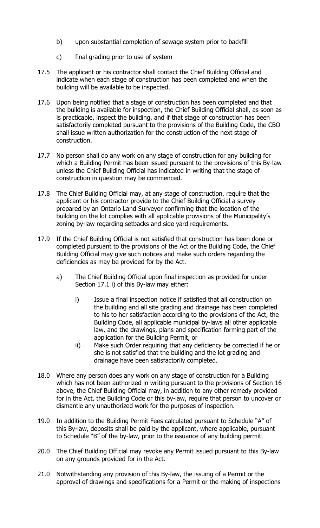- b) upon substantial completion of sewage system prior to backfill
- c) final grading prior to use of system
- 17.5 The applicant or his contractor shall contact the Chief Building Official and indicate when each stage of construction has been completed and when the building will be available to be inspected.
- 17.6 Upon being notified that a stage of construction has been completed and that the building is available for inspection, the Chief Building Official shall, as soon as is practicable, inspect the building, and if that stage of construction has been satisfactorily completed pursuant to the provisions of the Building Code, the CBO shall issue written authorization for the construction of the next stage of construction.
- 17.7 No person shall do any work on any stage of construction for any building for which a Building Permit has been issued pursuant to the provisions of this By-law unless the Chief Building Official has indicated in writing that the stage of construction in question may be commenced.
- 17.8 The Chief Building Official may, at any stage of construction, require that the applicant or his contractor provide to the Chief Building Official a survey prepared by an Ontario Land Surveyor confirming that the location of the building on the lot complies with all applicable provisions of the Municipality's zoning by-law regarding setbacks and side yard requirements.
- 17.9 If the Chief Building Official is not satisfied that construction has been done or completed pursuant to the provisions of the Act or the Building Code, the Chief Building Official may give such notices and make such orders regarding the deficiencies as may be provided for by the Act.
	- a) The Chief Building Official upon final inspection as provided for under Section 17.1 i) of this By-law may either:
		- i) Issue a final inspection notice if satisfied that all construction on the building and all site grading and drainage has been completed to his to her satisfaction according to the provisions of the Act, the Building Code, all applicable municipal by-laws all other applicable law, and the drawings, plans and specification forming part of the application for the Building Permit, or
		- ii) Make such Order requiring that any deficiency be corrected if he or she is not satisfied that the building and the lot grading and drainage have been satisfactorily completed.
- 18.0 Where any person does any work on any stage of construction for a Building which has not been authorized in writing pursuant to the provisions of Section 16 above, the Chief Building Official may, in addition to any other remedy provided for in the Act, the Building Code or this by-law, require that person to uncover or dismantle any unauthorized work for the purposes of inspection.
- 19.0 In addition to the Building Permit Fees calculated pursuant to Schedule "A" of this By-law, deposits shall be paid by the applicant, where applicable, pursuant to Schedule "B" of the by-law, prior to the issuance of any building permit.
- 20.0 The Chief Building Official may revoke any Permit issued pursuant to this By-law on any grounds provided for in the Act.
- 21.0 Notwithstanding any provision of this By-law, the issuing of a Permit or the approval of drawings and specifications for a Permit or the making of inspections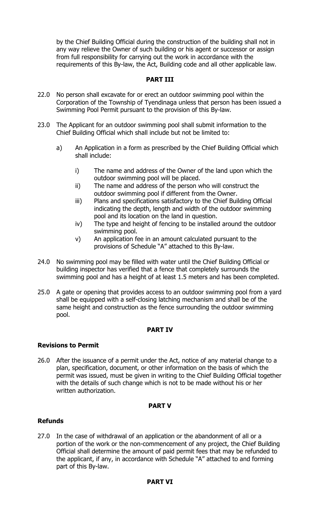by the Chief Building Official during the construction of the building shall not in any way relieve the Owner of such building or his agent or successor or assign from full responsibility for carrying out the work in accordance with the requirements of this By-law, the Act, Building code and all other applicable law.

### **PART III**

- 22.0 No person shall excavate for or erect an outdoor swimming pool within the Corporation of the Township of Tyendinaga unless that person has been issued a Swimming Pool Permit pursuant to the provision of this By-law.
- 23.0 The Applicant for an outdoor swimming pool shall submit information to the Chief Building Official which shall include but not be limited to:
	- a) An Application in a form as prescribed by the Chief Building Official which shall include:
		- i) The name and address of the Owner of the land upon which the outdoor swimming pool will be placed.
		- ii) The name and address of the person who will construct the outdoor swimming pool if different from the Owner.
		- iii) Plans and specifications satisfactory to the Chief Building Official indicating the depth, length and width of the outdoor swimming pool and its location on the land in question.
		- iv) The type and height of fencing to be installed around the outdoor swimming pool.
		- v) An application fee in an amount calculated pursuant to the provisions of Schedule "A" attached to this By-law.
- 24.0 No swimming pool may be filled with water until the Chief Building Official or building inspector has verified that a fence that completely surrounds the swimming pool and has a height of at least 1.5 meters and has been completed.
- 25.0 A gate or opening that provides access to an outdoor swimming pool from a yard shall be equipped with a self-closing latching mechanism and shall be of the same height and construction as the fence surrounding the outdoor swimming pool.

#### **PART IV**

#### **Revisions to Permit**

26.0 After the issuance of a permit under the Act, notice of any material change to a plan, specification, document, or other information on the basis of which the permit was issued, must be given in writing to the Chief Building Official together with the details of such change which is not to be made without his or her written authorization.

#### **PART V**

#### **Refunds**

27.0 In the case of withdrawal of an application or the abandonment of all or a portion of the work or the non-commencement of any project, the Chief Building Official shall determine the amount of paid permit fees that may be refunded to the applicant, if any, in accordance with Schedule "A" attached to and forming part of this By-law.

#### **PART VI**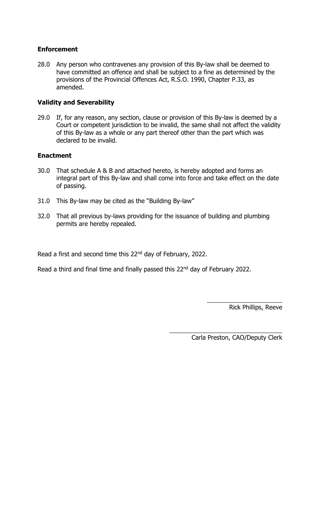# **Enforcement**

28.0 Any person who contravenes any provision of this By-law shall be deemed to have committed an offence and shall be subject to a fine as determined by the provisions of the Provincial Offences Act, R.S.O. 1990, Chapter P.33, as amended.

# **Validity and Severability**

29.0 If, for any reason, any section, clause or provision of this By-law is deemed by a Court or competent jurisdiction to be invalid, the same shall not affect the validity of this By-law as a whole or any part thereof other than the part which was declared to be invalid.

#### **Enactment**

- 30.0 That schedule A & B and attached hereto, is hereby adopted and forms an integral part of this By-law and shall come into force and take effect on the date of passing.
- 31.0 This By-law may be cited as the "Building By-law"
- 32.0 That all previous by-laws providing for the issuance of building and plumbing permits are hereby repealed.

Read a first and second time this 22<sup>nd</sup> day of February, 2022.

Read a third and final time and finally passed this 22<sup>nd</sup> day of February 2022.

Rick Phillips, Reeve

 $\overline{a}$ Carla Preston, CAO/Deputy Clerk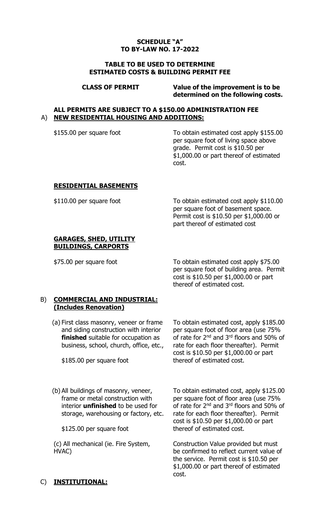### **SCHEDULE "A" TO BY-LAW NO. 17-2022**

#### **TABLE TO BE USED TO DETERMINE ESTIMATED COSTS & BUILDING PERMIT FEE**

**CLASS OF PERMIT Value of the improvement is to be determined on the following costs.**

#### **ALL PERMITS ARE SUBJECT TO A \$150.00 ADMINISTRATION FEE** A) **NEW RESIDENTIAL HOUSING AND ADDITIONS:**

\$155.00 per square foot To obtain estimated cost apply \$155.00 per square foot of living space above grade. Permit cost is \$10.50 per \$1,000.00 or part thereof of estimated cost.

#### **RESIDENTIAL BASEMENTS**

\$110.00 per square foot To obtain estimated cost apply \$110.00 per square foot of basement space. Permit cost is \$10.50 per \$1,000.00 or part thereof of estimated cost

#### **GARAGES, SHED, UTILITY BUILDINGS, CARPORTS**

\$75.00 per square foot To obtain estimated cost apply \$75.00 per square foot of building area. Permit cost is \$10.50 per \$1,000.00 or part thereof of estimated cost.

# B) **COMMERCIAL AND INDUSTRIAL: (Includes Renovation)**

(a) First class masonry, veneer or frame and siding construction with interior **finished** suitable for occupation as business, school, church, office, etc.,

\$185.00 per square foot

To obtain estimated cost, apply \$185.00 per square foot of floor area (use 75% of rate for 2nd and 3rd floors and 50% of rate for each floor thereafter). Permit cost is \$10.50 per \$1,000.00 or part thereof of estimated cost.

(b) All buildings of masonry, veneer, frame or metal construction with interior **unfinished** to be used for storage, warehousing or factory, etc.

\$125.00 per square foot

(c) All mechanical (ie. Fire System, HVAC)

To obtain estimated cost, apply \$125.00 per square foot of floor area (use 75% of rate for 2<sup>nd</sup> and 3<sup>rd</sup> floors and 50% of rate for each floor thereafter). Permit cost is \$10.50 per \$1,000.00 or part thereof of estimated cost.

Construction Value provided but must be confirmed to reflect current value of the service. Permit cost is \$10.50 per \$1,000.00 or part thereof of estimated cost.

# C) **INSTITUTIONAL:**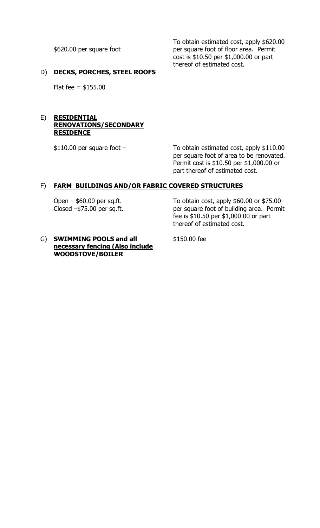\$620.00 per square foot

To obtain estimated cost, apply \$620.00 per square foot of floor area. Permit cost is \$10.50 per \$1,000.00 or part thereof of estimated cost.

# D) **DECKS, PORCHES, STEEL ROOFS**

Flat fee =  $$155.00$ 

#### E) **RESIDENTIAL RENOVATIONS/SECONDARY RESIDENCE**

\$110.00 per square foot – To obtain estimated cost, apply \$110.00 per square foot of area to be renovated. Permit cost is \$10.50 per \$1,000.00 or part thereof of estimated cost.

# F) **FARM BUILDINGS AND/OR FABRIC COVERED STRUCTURES**

Open – \$60.00 per sq.ft. Closed –\$75.00 per sq.ft. To obtain cost, apply \$60.00 or \$75.00 per square foot of building area. Permit fee is \$10.50 per \$1,000.00 or part thereof of estimated cost.

#### G) **SWIMMING POOLS and all necessary fencing (Also include WOODSTOVE/BOILER**

\$150.00 fee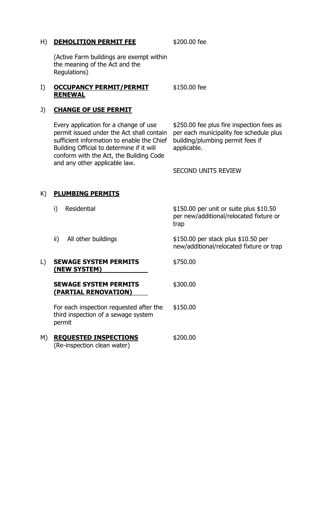### H) **DEMOLITION PERMIT FEE** \$200.00 fee

(Active Farm buildings are exempt within the meaning of the Act and the Regulations)

#### I) **OCCUPANCY PERMIT/PERMIT RENEWAL** \$150.00 fee

### J) **CHANGE OF USE PERMIT**

Every application for a change of use permit issued under the Act shall contain sufficient information to enable the Chief Building Official to determine if it will conform with the Act, the Building Code and any other applicable law.

\$250.00 fee plus fire inspection fees as per each municipality fee schedule plus building/plumbing permit fees if applicable.

SECOND UNITS REVIEW

# K) **PLUMBING PERMITS**

|    | Residential<br>i)                                                                        | $$150.00$ per unit or suite plus $$10.50$<br>per new/additional/relocated fixture or<br>trap |
|----|------------------------------------------------------------------------------------------|----------------------------------------------------------------------------------------------|
|    | ii)<br>All other buildings                                                               | \$150.00 per stack plus \$10.50 per<br>new/additional/relocated fixture or trap              |
| L) | <b>SEWAGE SYSTEM PERMITS</b><br>(NEW SYSTEM)                                             | \$750.00                                                                                     |
|    | <b>SEWAGE SYSTEM PERMITS</b><br>(PARTIAL RENOVATION)                                     | \$300.00                                                                                     |
|    | For each inspection requested after the<br>third inspection of a sewage system<br>permit | \$150.00                                                                                     |
| M) | <b>REQUESTED INSPECTIONS</b><br>(Re-inspection clean water)                              | \$200.00                                                                                     |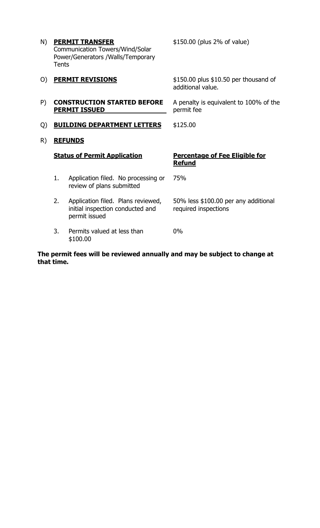| <b>PERMIT TRANSFER</b>                 |  |  |
|----------------------------------------|--|--|
| <b>Communication Towers/Wind/Solar</b> |  |  |
| Power/Generators /Walls/Temporary      |  |  |
| Tents                                  |  |  |
|                                        |  |  |

\$150.00 (plus 2% of value)

| O) |                                    | <b>PERMIT REVISIONS</b>                                                                 | $$150.00$ plus $$10.50$ per thousand of<br>additional value. |
|----|------------------------------------|-----------------------------------------------------------------------------------------|--------------------------------------------------------------|
| P) |                                    | <b>CONSTRUCTION STARTED BEFORE</b><br><b>PERMIT ISSUED</b>                              | A penalty is equivalent to 100% of the<br>permit fee         |
| Q) | <b>BUILDING DEPARTMENT LETTERS</b> |                                                                                         | \$125.00                                                     |
| R) |                                    | <b>REFUNDS</b>                                                                          |                                                              |
|    |                                    | <b>Status of Permit Application</b>                                                     | <b>Percentage of Fee Eligible for</b><br><b>Refund</b>       |
|    | 1.                                 | Application filed. No processing or<br>review of plans submitted                        | 75%                                                          |
|    | 2.                                 | Application filed. Plans reviewed,<br>initial inspection conducted and<br>permit issued | 50% less \$100.00 per any additional<br>required inspections |
|    | 3.                                 | Permits valued at less than<br>\$100.00                                                 | $0\%$                                                        |

**The permit fees will be reviewed annually and may be subject to change at that time.**